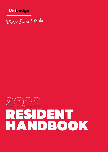

Where I want to be

# 2022 RESIDENT HANDBOOK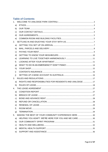# **Table of Contents**

| a) |                                                                  |  |
|----|------------------------------------------------------------------|--|
|    | b)                                                               |  |
| c) |                                                                  |  |
| d) |                                                                  |  |
|    | e)                                                               |  |
|    |                                                                  |  |
| a) |                                                                  |  |
| b) |                                                                  |  |
| C) |                                                                  |  |
| d) |                                                                  |  |
| e) |                                                                  |  |
| f) |                                                                  |  |
| g) |                                                                  |  |
| h) |                                                                  |  |
| i) |                                                                  |  |
| j) |                                                                  |  |
|    |                                                                  |  |
|    | RIGHTS AND RESPONSIBILITIES FOR RESIDENTS AND UNILODGE  17<br>a) |  |
|    |                                                                  |  |
|    |                                                                  |  |
|    | a)                                                               |  |
| b) |                                                                  |  |
| C) |                                                                  |  |
|    | d)                                                               |  |
| e) |                                                                  |  |
| f) |                                                                  |  |
| g) |                                                                  |  |
| 5. | MAKING THE BEST OF YOUR COMMUNITY EXPERIENCE HERE  30            |  |
| a) | HELPING YOU ADAPT: WE'RE HERE FOR YOU AND WE CARE 30             |  |
| b) |                                                                  |  |
| C) |                                                                  |  |
| d) |                                                                  |  |
| e) |                                                                  |  |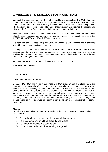# <span id="page-2-0"></span>**1. WELCOME TO UNILODGE PARK CENTRAL!**

We trust that your stay here will be both enjoyable and productive. The UniLodge Park Central Management Team is aware that you are here not only to enjoy yourself but also to study, and we understand that at times you will be under pressure to complete assignments. The Resident Handbook is designed to ensure that everybody understands the building and observes the Rules of Residency so that all residents can enjoy their stay.

Most of the issues in this Resident Handbook are based on common sense and many have already been explained during the initial sign-up process. The regulations ensure the **COMFORT**, **SAFETY** and **SECURITY** of all residents.

We hope that this Handbook will prove useful in answering any questions and in assisting you with the most common issues that may occur.

UniLodge Park Central welcomes you to an environment that provides students with the greatest opportunity to maximise their success, enjoyment and experience from their time studying in Brisbane. Everyone in the management team is here to help you settle in and feel at home throughout your stay.

Welcome to your new home. We look forward to a great time together!

# **UniLodge Park Central**

# <span id="page-2-1"></span>**a) ETHOS**

# **"Your Trust, Our Commitment"**

UniLodge Park Central's motto "**Your Trust, Our Commitment**" seeks to place you at the heart of everything we do. We value your stay with us and aspire to work closely with you to ensure a fun and exciting residential life. We welcome residents of all backgrounds and talents, and believe diversity makes for a stronger and more vibrant residential community. We seek to provide a nurturing environment in which we will listen attentively to your needs and support you in your journey of learning and growth. At the same time, it is important to us that you feel safe, comfortable and rejuvenated after a long day out. At UniLodge Park Central, your trust in us drives our commitment to delivering an exceptional residential experience.

# **Mission**

To deliver an outstanding Student **LIFE** experience during your stay with us at UniLodge Park Central:

- ➢ To **L**ead a vibrant, fun and exciting residential community
- ➢ To **I**nclude students of all backgrounds and talents
- ➢ To **F**oster friendships and connections
- ➢ To **E**mpower students in their learning and growth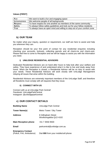# **Values [FIRST]**

| <b>Fun</b>           | We want to build a fun and engaging space                                 |
|----------------------|---------------------------------------------------------------------------|
| <b>Inclusiveness</b> | We welcome people of all backgrounds                                      |
| Respect              | To have respect for one another as members of the same community          |
| <b>Safety</b>        | To always follow safety guidelines and look out for your fellow residents |
| Trial                | To always have an open mind and willing to step out of your comfort zone  |

# <span id="page-3-0"></span>**b) OUR TEAM**

No matter what your inquiry, question or requirement, our staff are here to assist and help you wherever they can.

Reception should be your first point of contact for any residential enquiries including checking your accounts, lockouts, collecting parcels and all check-ins and check-outs. Please feel free to come to Reception and we will be happy to assist you with the information you need.

# **i) UNILODGE RESIDENTIAL ADVISORS**

Dedicated Residential Advisors are on hand after hours to help look after your welfare and safety. They have experience of and understand what it is like to live and study away from home. When the Reception is closed, a Residential Advisor will be on duty to assist with your needs. These Residential Advisors will work closely with UniLodge Management relaying all issues that arise within the building.

Residential Advisors are extremely important members of the UniLodge Staff, and therefore all Residents must comply with all requests that they issue.

# **ii) CONNECT WITH US**

Connect with us at UniLodge Park Central! *Facebook:* UniLodgeParkCentral Instagram: @unilodgeparkcentral

# <span id="page-3-1"></span>**c) OUR CONTACT DETAILS**

| <b>Building Name</b>                                  | UniLodge Park Central                         |
|-------------------------------------------------------|-----------------------------------------------|
| Tower Name(s)                                         | Metro Tower / Sky Tower                       |
| <b>Address</b>                                        | 8 Gillingham Street<br>Woolloongabba QLD 4102 |
| <b>Main Reception phone</b>                           | +61 7 3556 9500                               |
| Email                                                 | parkcentral@unilodge.com.au                   |
| <b>Emergency Contact</b><br>(Police, Fire, Ambulance) | Dial 000 from your mobile/cell phone          |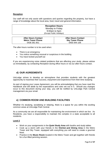# **Reception**

Our staff will not only assist with questions and queries regarding the property, but have a range of knowledge about the local area, food, travel and general information.

| <b>Reception Hours</b>   |  |
|--------------------------|--|
| Monday to Friday         |  |
| 9:00am to 5pm            |  |
| (Except Public Holidays) |  |
|                          |  |

| <b>After Hours Contact</b> | <b>After Hours Contact</b> |
|----------------------------|----------------------------|
| <b>Metro Tower Phone</b>   | <b>Sky Tower Phone</b>     |
| 0436 361 851               | 0455 944 106               |

The after-hours number is to be used when:

- There is an emergency
- You notice something unusual or suspicious in the building
- You have locked yourself out

If you are experiencing noise related problems that are affecting your study, please advise us immediately, by contacting Reception during office hours or via our after-hours contact.

# <span id="page-4-0"></span>**d) OUR AGREEMENTS**

UniLodge strives to develop an atmosphere that provides students with the greatest opportunity to maximise their success, enjoyment and experience from their time studying.

As part of signing your Lease Agreement, you will be acknowledging that you have read this Handbook and will abide by the expectations and rules set out in it. Should any changes occur to this document during your stay, you will be notified by UniLodge Park Central management via your email.

# <span id="page-4-1"></span>**e) COMMON ROOM AND BUILDING FACILITIES**

Whether it's studying, socialising or relaxing, there is a space for you within the exciting common areas at UniLodge Park Central.

As a community we are all responsible for maintaining the environment in which we live. As Residents, you have a responsibility to maintain the complex in a state acceptable to all residents.

# **Level 2**

- Work on your assignments in the **Quiet Study Area** with booths and study tables
- Cook up a storm with your friends in the **Kitchen and Dining Area** in the Metro Tower and Sky Tower, equipped with everything you will need to create a gourmet feast.
- Practice in the **Music Room** located in the Metro Tower and get together with friends for a fun-filled jamming session.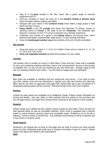- Stay fit in the **Gym** located in the Sky Tower with a great range of exercise equipment and TV
- Chill out, socialise or enjoy the fresh air in the **Outdoor Dining & Kitchen Deck** which includes outdoor seating and tables.
- Hangout with your mates in the **Common Areas** which offers a large space in both Metro and Sky Towers
- **Enjoy Netflix** in the **TV Lounge** and watch your favourite TV shows, movies or sporting events on **Foxtel** in the state of the art **Theatrette**. The theatrette also features a massive 75-inch TV screen to promote your ultimate experience
- Challenge your friends to a game in the **Games Area** on the ground level, which features pool tables, foosball table, table tennis, TV and vending machines
- Enjoy the **landscaped outdoor area** that provides a fine mix of herbs and plants

# **Sky Garden**

- Enjoy the views on Levels 4, 7, 10 & 13 in Metro Tower and on Levels 5, 8, 11, 14, 17, 20 & 23 in Sky Tower
- **Herb and Vegetable Gardens** provide fresh produce for your meals

# **Laundry**

The laundry room is located on Level 2 in both Metro Tower and Sky Tower and is available for your use containing washing machines, dryers and ironing boards. Access to the laundry is available 24/7, so you can do your washing at any time of the day. Charges apply for the use of a washing machine and a dryer. You will need to supply your own detergent.

# **Bicycles**

Bike racks are available to residents and are undercover and secure. If you wish to store your bike, please come and see Reception to register your bike and receive your bike tag. Bikes that do not have an approved UniLodge Park Central bike tag or are not parked in a designated parking space will be removed. Retrieval will be at the cost of the resident.

# **Parking**

Limited car park spaces are available at an additional charge. Please contact Reception for pricing and details. Any cars, bikes or other vehicles that are parked on the premises that are not approved by UniLodge Park Central will be removed at the expense of the resident.

# **Rubbish**

Please empty your rubbish into the rubbish chutes located on each floor. There are bins for both general waste as well as recyclable materials. Each chute is equipped with a diverter switch to switch between general waste and recyclable waste. Rubbish is not to be left in hallways, common areas or beside bins. Any residents found doing so will be contacted and it may result in a breach notice.

# **Study Spaces**

Studying is an integral part of living at UniLodge and we want to ensure you have enough space to study. Dedicated quiet study area is located in the Metro Tower on Level 2. Please respect the space and abide by the expectations.

**Gym**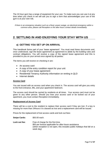The 24 hour gym has a range of equipment for your use. To make sure you can use it at any time when you check in we will ask you to sign a form that acknowledges your use of the gym is at your own risk.

*If there is an emergency situation such as a flood, power outage, an electrical emergency within a common area, please call Reception or the after-hours contact details immediately.*

# <span id="page-6-0"></span>**2. SETTLING IN AND ENJOYING YOUR STAY WITH US**

# <span id="page-6-1"></span>**a) GETTING YOU SET UP ON ARRIVAL**

This handbook forms part of your 'lease agreement'. You must read these documents and, once understood, sign the lease agreement as agreement to abide by the building rules and contract obligations. You will receive a copy of the signed lease agreement and this is provided to you on your arrival once signed by all parties.

The items you will receive on checking in are:

- An access card
- A copy of the entry condition report for your unit
- A copy of your lease agreement
- Residential Tenancy Authority information on renting in QLD
- Internet details

# **Access Card**

You are issued with an access card when you check in. The access card will give you entry to the front entrance, lifts, and your apartment/ bedroom.

The access card should be carried by residents at all times. Your access card must not be given to any other person. Should you lose your access card or be locked out of your apartment, you must contact Reception immediately.

#### **Replacement of Access Card**

There will be a cost to the resident to replace their access card if they are lost. If a key is missing for more than 24hours it is classed as lost and a replacement card will be issued.

Prices for the replacement of lost access cards and lock out fees:

- **Swipe Cards:** \$50.00 each.
- **Lock out fee:** Free of charge for the first time. \$50 per lockout applicable for after-hours assistance (when reception is not open, this includes public holidays that fall on a week day)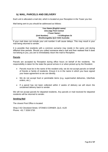# <span id="page-7-0"></span>**b) MAIL, PARCELS AND DELIVERY**

Each unit is allocated a mail slot, which is located at your Reception in the Tower you live.

Mail being sent to you should be addressed as follows:

# **Your Name** *(English name)* **UniLodge Park Central <Tower Name> (Unit Number) \_ \_ \_ \_ \_ / 8 Gillingham St Woolloongabba QLD 4102 Australia**

If your mail does not include your unit number it will cause delays. This may result in your mail being returned to sender.

It is possible that residents with a common surname may reside in the same unit during different time periods. Should you collect someone else's mail and then realised that it does not belong to you, you are to immediately return the mail to Reception.

# **Parcels**

Parcels are accepted by Reception during office hours on behalf of the residents. No responsibility is taken for the state the parcel arrives in or when picked up by the Resident.

- Parcels must be in the name of the resident only; we do not accept parcels on behalf of friends or family of residents. Ensure it is in the name in which you have signed your lease agreement so we can identify.
- We do not accept food or perishable items (e.g. supermarket deliveries, UberEats orders, etc.).
- If a parcel has not been collected within 2 weeks of delivery we will return the unclaimed delivery back to sender.

We will not accept parcels for departed residents. Any parcels or mail received for departed residents will be returned to sender.

# **Sending Mail**

The closest Post Office is located:

Shop 3 62 Cleveland Street, STONES CORNER, QLD, 4120 Phone: +61 7 3336 5730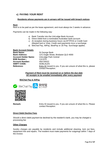# <span id="page-8-0"></span>**c) PAYING YOUR RENT**

# **Residents whose payments are in arrears will be issued with breach notices**

# **Rent**

Rent is to be paid as per the lease agreement, and must always be 2 weeks in advance.

Payments can be made in the following way:

- a) Bank Transfer into the UniLodge Bank Account.
- b) Direct Debit from a nominated Australian bank account.
- c) At reception during business hours via EFTPOS or Credit Card (MasterCard or Visa). Credit card payments incur a surcharge.
- d) WeChat Pay, AliPay, BestPay or JD Pay. Surcharge applies.

# **Bank Account Details**

| <b>Bank Name:</b>           | St George Bank                                                    |
|-----------------------------|-------------------------------------------------------------------|
| <b>Bank Address:</b>        | 12/1 Eagle Street, Brisbane QLD 4000                              |
| <b>Account Holder Name:</b> | UniLodge Park Central                                             |
| <b>BSB Number::</b>         | 114-879                                                           |
| <b>Account Number:</b>      | 450728322                                                         |
| <b>SWIFT CODE:</b>          | SGBLAU2S                                                          |
| <b>Reference:</b>           | Entry ID issued to you. If you are unsure of what this is, please |
|                             | contact Reception.                                                |
|                             |                                                                   |

# *Payment of Rent must be received on or before the due date All receipts to be emailed immediately after every payment*

# **WeChat Pay & AliPay**





**Remark:** Entry ID issued to you. If you are unsure of what this is. Please contact Reception.

# **Direct Debit Decline Fees**

Should a direct debit payment be declined by the resident's bank, you may be charged a processing fee

# **Other Charges**

Sundry charges are payable by residents and include additional cleaning, lock out fees, equipment hire and repairs. The resident must make payments for outgoings within 7 days of the invoice.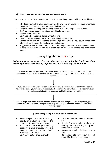# <span id="page-9-0"></span>**d) GETTING TO KNOW YOUR NEIGHBOURS**

Here are some handy hints towards getting to know and living happily with your neighbours:

- Introduce yourself to your neighbours and have conversations with them whenever you can – don't be shy, you may have lots in common
- Respect others' sleeping and studying habits by not creating excessive noise
- Don't leave your belongings lying around in shared areas
- Clean up after yourself
- Don't use other people's things without asking
- Have consideration and respect for others in all facets of life
- Remembering that all Residents of UniLodge are students. You could assist each other with study and/or have study groups together
- Suggesting social activities that you and your neighbours could attend together within or outside of UniLodge may be a great way to make new friends and meet more people

# Living Together at UniLodge

# *Living in a close community like UniLodge can be a lot of fun, but it will take effort and compromise. The following steps will help you should any conflicts arise…*



# *Tips for happy living in a multi-share apartment*

- Always do your fair share of cleaning
- Decide on a cleaning roster for the kitchen, bathroom and vacuuming
- Be aware of the noise you and any guests you have produce. This is a common courtesy which should extend to all residents.
- Don't leave dirty dishes overnight.
- Take out the garbage when the bin is full
- Decide if you are going to share the cooking, it's a great way to try new foods and cut costs
- Always store valuable items in your room
- Be considerate with your use of shared facilities and equipment.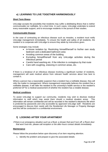# <span id="page-10-0"></span>**e) LEARNING TO LIVE TOGETHER HARMONIOUSLY**

# **Short Term Illness**

UniLodge accepts the possibility that residents may suffer a debilitating illness that is neither communicable nor notifiable, for a short time. In such cases, UniLodge undertake to extend every reasonable support, and to encourage residents in the pursuit of their studies.

# **Communicable Disease**

In the case of contracting an infectious disease such as measles, a resident must notify UniLodge management immediately. To ensure the health and safety of all residents, the resident is to cooperate with UniLodge to ensure they abide by instructions given.

Some strategies may include

- in-house isolation by: Restricting himself/herself to his/her own study bedroom and a dedicated bathroom area
- Avoiding common areas of the building
- Excluding himself/herself from any UniLodge activities during the infectious period
- Careful hand washing etc. if the infection is contagious by that route
- Care with coughing, sneezing in common areas, etc.

If there is a breakout of an infectious disease involving a significant number of residents, management will seek medical advice from relevant health services about how best to contain it.

Where a person has a reasonable suspicion that a resident has a notifiable disease, they will refer the matter to management. Where management reasonably believes the resident has a notifiable disease, it will refer the resident to the university's health service or the resident's preferred GP for a medical assessment of whether the resident has a notable disease.

# **Medical conditions**

To assist UniLodge to support our community, residents may wish to disclose medical information to staff which may assist them should a medical situation arose. This information will remain confidential and will be recorded in the resident's electronic file which is protected by passwords and only accessible by approved UniLodge staff. Residents are encouraged to discuss their needs with the Residential Life Manager or Property Manager and this will be conducted in a confidential environment.

# <span id="page-10-1"></span>**f) LOOKING AFTER YOUR APARTMENT**

*If there is an emergency situation such as a flood, a shower that won't turn off, a Room door that won't lock etc. please call reception or the after-hours contact details immediately.*

# **Maintenance**

Please follow the procedure below upon discovery of an item requiring attention.

1. Identify the problem and prepare to give the associated details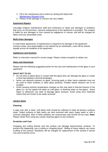- 2. Fill in the maintenance form online by clicking the below link: [Maintenance Request Form](https://form.jotform.com/200682286031449)
- 3. Photos of the damage or concern are very helpful

# **Apartment Repairs**

UniLodge employs maintenance staff and contractors to repair any damages or problems that occur on the premises. General maintenance of the apartment is provided. The resident is liable for any damages or loss caused by negligence or misuse, and will be charged for labour and any associated costs.

# **Multi-share damages**

In multi-share apartments, if maintenance is required to fix damage in the apartment common areas, and responsibility is not claimed by an individual/s, costs will be shared equally across all residents of the apartment.

# **Appliances and Systems**

Refer to instruction manual for correct usage. Please contact reception to obtain one.

# **Glass and Aluminium**

Please note the following suggested points for the care and maintenance of the glass in your apartment.

# *WHAT NOT TO DO*

- Do not store or place items in contact with the glass (this can damage the glass or create a heat trap leading to thermal breakage)
- Never use abrasive cleaners on glass. Scouring pads or other harsh materials must not be used to clean windows or other glass products. Powder based cleaners are to be avoided
- Avoid causing extreme temperature changes as this may lead to thermal fracture of the glass (i.e. do not splash hot water on cold glass, or freezing water on hot glass). Some tapes or adhesives can stain of damage glass surfaces. Avoid using such materials unless they are known to be easily removed

# **Joinery Items**

# **Cleaning**

A wipe over with a clean, soft damp cloth should be sufficient to keep all laminex surfaces clean. Soiled surfaces or light stains are best removed with warm soapy water or with a common detergent. Wax or other polishes are unnecessary and should not be used. **Note:**  Please refrain from using any caustic cleaning agent on any surfaces.

# **Scratches and Cuts**

Chopping and cutting directly onto the surface can damage laminex/stone surfaces. To prevent this happening, use a cutting or chopping board. Sliding of heavy objects can cause scuffing of the surface. Residents will be charged for replacement of the surface if severe cuts and scratches occur.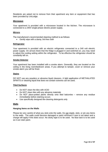Residents are asked not to remove from their apartment any item or equipment that has been provided by UniLodge.

#### **Microwave**

Your apartment is provided with a microwave located in the kitchen. The microwave is connected to a 240V single-phase electric power supply.

# **Mirrors**

The manufacture's recommended cleaning method is as follows:

• Gently wipe with a damp, lint-free cloth

# **Refrigerator**

Your apartment is provided with an electric refrigerator connected to a 240 volt electric power supply. On arrival check that the fridge is plugged in and switched on, you may need to adjust the cooling setting within the refrigerator. To be effective the refrigerator should be constantly left on.

# **Smoke Detector**

Your apartment has been installed with a smoke alarm. Generally, they are located on the ceiling in the living room/bedroom areas. If you attempt to tamper, cover or remove your smoke alarm you will be fined.

# **Stains**

DO NOT use any powders or abrasive liquid cleaners. A light application of METHALATED SPIRITS or cleaning liquid that does not contain solvents can be used.

# **Tiled Surfaces**

- Do NOT clean the tiles with ACID
- Do NOT clean tiles with any abrasive materials
- Do NOT place-potted plants directly onto tiled balconies remove any residue immediately before staining occurs
- Use specifically designed tile-cleaning detergents only

# **Walls**

# **Hanging Items on the Walls**

Please be very careful of what you stick onto the walls. Do not staple, stick, or pin any items to the walls. The walls could become damaged or paint removed if care is not taken and a charge will apply if this does occur. No sticky tape is to be used. No blue tack is to be used as it can stain paint.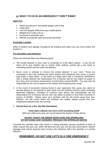# <span id="page-13-0"></span>**g) WHAT TO DO IN AN EMERGENCY? DON'T PANIC!**

# **Upon Fire**

- Assist any person in immediate danger only if safe
- Close door
- Call Fire Brigade (000) from your mobile phone
- Mitigate fire if safe to do so
- Evacuate to assembly area
- Remain at assembly area and await instruction

# **Assembly Location**

Refer to posters and signage throughout the building and make sure you know where this location is

# **Fire Sprinklers and Detectors**

Please be informed about the following points:

- 1. The smoke detector in your room is connected to a fire alarm system. If you set the alarm off in your kitchen due to smoke while cooking, quickly get a tea towel or something similar and fan under the detector
- 2. Never cover or attempt to remove the smoke detector in your room. These are connected to the main building fire alarm system and tampering may cause a system fault and/or a false alarm. In the event of a false alarm that is caused by interference with a smoke detector the Queensland Fire & Rescue Service has within its power to levy fines and commence prosecutions (current fines exceed \$1200). You may also be responsible for the cost of repairs to the system that tampering may cause
- 3. In the event of excessive cooking fumes in your apartment that cause your alarm to activate please do not attempt to clear these into the building common areas (including apartment hallways). Activation of common area alarms will automatically call the Queensland Fire & Rescue Service who has within its power to levy fines (currently in excess of \$1200). Please open your windows and fan the fumes away from your detector. For the rooms where the windows are sealed, please ensure that your rangehood extraction fans are running.

# 4. **Should there be a fire, dial 000 immediately**

# **False alarm callouts can incur a fine exceeding \$1200**

With just a little extra care, we can all reduce the chance of false alarms

# *DO NOT TOUCH THE SMOKE DETECTORS AND SPRINKLERS DO NOT HANG COAT HANGERS THROUGH THE SPRINKLER DEVICE*

Touching the sprinkler head may result in it being activated causing hundreds of litres of water to gush into your unit, which will flood not only your unit but also those below. Severe damage costs will be imposed upon anyone who interferes with a fire sprinkler or a smoke detector!

# *REMEMBER: DO NOT USE LIFTS IN A FIRE EMERGENCY*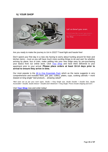# <span id="page-14-0"></span>**h) YOUR SHOP**



Let us bowl you over.

Feel at home the moment you move in -Your Shop.

Are you ready to make the journey to Uni in 2022? Travel light and hassle free!

Don't spend your first day in a new city having to worry about hunting around for linen and kitchen items – trust us you will have much more exciting things to do and see! So whether arriving by plane, bus or train, make settling into your new lodge easy by pre-purchasing your basics from our online store. Click [Your Shop](https://unilodge.com.au/shop/) and have them delivered to your apartment prior to your arrival. **Please place orders at least 10-14 days prior to arrival to ensure they arrive in time.**

Our most popular is the [All in One Essentials Pack](https://unilodge.com.au/product/one-essentials-pack/) which as the name suggests is very comprehensive and includes linen, pot, pan, cutlery, plates, cups, cooking utensils + more (based on king single\* bed product)… amazing value!!

*\*Bed sizes are as per your room types. Studio = King Single size, Studio Double = Double Size, Studio Accessible = Double, Studio Deluxe = Double and 6 Bedroom = King Single. Prices include shipping and GST.*

Visit **[Your Shop](http://unilodge.com.au/shop/)** now and order today!

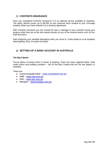# <span id="page-15-0"></span>**i) CONTENTS INSURANCE**

Have you considered Contents Insurance? It is an optional service available to residents. The policy offered covers up to \$5,000 of your personal items located at your UniLodge property where you have entered in to a tenancy agreement.

With Contents Insurance you are insured for loss or damage to your contents during your tenancy while they are at the site caused directly by any of the insured events such as fire, theft and storm.

Start protecting your valuable belongings when you move in. Come speak to us at reception about getting cover, it's quick and easy!

# <span id="page-15-1"></span>**j) SETTING UP A BANK ACCOUNT IN AUSTRALIA**

# *The Big 4 Banks*

You've plenty of choice when it comes to banking. There are many regional banks, local credit unions and building societies – but it's the Big 5 banks that are the key players in Australia.

These are:

- Commonwealth Bank [www.commbank.com.au](http://www.commbank.com.au/)
- NAB [www.nab.com.au](http://www.nab.com.au/)
- ANZ [www.anz.com.au](http://www.anz.com.au/)
- Westpac [www.westpac.com.au](http://www.westpac.com.au/)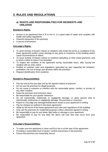# <span id="page-16-0"></span>**3. RULES AND REGULATIONS**

# <span id="page-16-1"></span>**a) RIGHTS AND RESPONSIBILITIES FOR RESIDENTS AND UNILODGE**

# **Resident's Rights:**

- Access to an apartment that is fit to live in, in a good state of repair and complies with health and safety regulations
- Peaceful enjoyment of the premises
- A secure environment

# **UniLodge's Rights:**

- To send remedy of breach notices to residents who break the terms or conditions of the lease agreement and/or cause damage to any parts or inclusions of the building and/or cause inconvenience to others
- To issue remedy of breach notices to residents defaulting on their rental payments, and to send a notice to leave if not remedied
- To inspect the condition of the apartment during reasonable hours, after issuing the resident with an entry notice
- Entitled to maintain rules and regulations (permitted by law) regarding the limitation, prohibition, the use of drugs and alcohols within the premises
- Request identification from residents

# **Resident's Responsibilities:**

- Pay the rent by the due date and by the agreed method of payment
- Do not use the premises for illegal purposes
- Do not cause a nuisance or interfere with the reasonable peace, comfort, or privacy of any other resident
- Keep the premises and inclusions clean
- Be responsible for your guests' behaviour
- Do not intentionally, maliciously or negligently damage, or allow anyone else to intentionally, maliciously or negligently damage, the premises or inclusions
- Report to UniLodge any damage/maintenance issues to your apartment in writing
- Pay for charges as outlined in the lease agreement
- Abide by the terms of the lease agreement and rules and regulations of the building
- Only use the premises for residential purposes unless otherwise agreed in writing
- Be responsible to pay for any blown light bulbs or damage in your apartment
- Be responsible to pay for any false fire alarm call outs that may occur from your apartment

# **UniLodge's Responsibilities:**

- To make sure the apartment is clean and fit to live in at the start of the agreement
- Providing a reasonable level of peace, comfort and privacy in the premises
- Ensure the premises are reasonably secure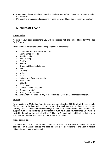- Ensure compliance with laws regarding the health or safety of persons using or entering the premises
- Maintain the premises and inclusions in good repair and keep the common areas clean

# <span id="page-17-0"></span>**b) RULES OF LEASE**

# **House Rules**

As part of your lease agreement, you will be supplied with the House Rules for UniLodge Park Central.

This document covers the rules and expectations in regards to:

- Common Areas and Share Facilities
- Maintenance procedures
- Resident behaviour
- **Bike Parking**
- Car Parking
- Alcohol
- Drugs and Illegal substances
- Gambling
- Smoking
- Noise
- Pets
- Visitors and Overnight guests
- Harassment
- Security
- Social Media
- Complaints and Disputes
- Requests by staff
- Abiding by House Rules

If you have any questions about any of these House Rules, please contact Reception.

# **Internet**

As a resident of UniLodge Park Central, you are allocated 100GB of Wi Fi per month. Please refer to the information given in your arrival pack and on the signage around the building for assistance and troubleshooting with your internet connection. Please contact the supplier if you would like to top up your account if you have used your allocated GB. Wi-Fi is available throughout the entire building. A 'How to Connect' guide will be included in your welcome pack and email to you with your arrival information.

# **Video surveillance**

UniLodge Park Central has 24 hour video surveillance. While these cameras can be of assistance in managing issues, the best defence is for all residents to maintain a vigilant attitude towards safety and security.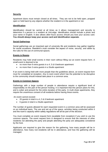# **Security**

Apartment doors must remain closed at all times. They are not to be held open, propped open or held back by any objects whether the resident is in the apartment or not.

#### **Identification**

Identification should be carried at all times as it allows management and security to determine if a person is a resident at UniLodge. Identification should include a photo and your name in English. It also allows after-hours access should you lose your access card. **You should always keep your access card and identification separate.**

#### **Social Gatherings**

Social gatherings are an important part of university life and residents may gather together for social occasions. Resident's must consider the aspect of noise, security, and abide by the rules for the use of communal spaces.

# **Events in Rooms**

Residents may hold small events in their room without filling out an event request form. A small event is deemed to be

- no more than 6 extra guests in a 4, 5 & 6 bedroom apartment
- no more than 3 extra guests in a Studio apartment

If an event is being held with more people than the guidelines above, an event request form must for completed at reception. Any in-room event which has the potential to be disruptive to the community should instead take place in a common area.

#### **Events in Common Spaces**

Gatherings with a large number of people in attendance require a significant level of responsibility on the part of the person hosting. It is important that this person plans for this, and is sober and present for the entire duration of the party. In multi share apartments, they require the unanimous consent of all residents before having these events.

An event cannot exceed:

- 20 guests in total in a 4, 5 & 6 bedroom apartment
- 6 guests in total in a Studio apartment

The number of guests allowed for each requested event in a common area will be assessed on an individual basis. The use and set up of the space, activities being conducted within it and the room's capacity within safety regulations will all be part of the decision.

You must complete an event request form (available from reception) if you wish to use the common spaces. The event request form is designed to ensure that the interests of other residents not attending the party and people attending the party are adequately considered by the host.

Applicants are required to give the reason for the gathering, how many people will be in attendance, how many non-residents will be in attendance, and how the gathering will be managed.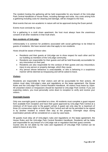The resident hosting the gathering will be held responsible for any breach of the UniLodge Park Central Handbook or House Rules, including damage and noise. Any costs arising from a gathering including costs for cleaning and damage, will be charged to the host.

Most events that are non-academic in nature will not be approved during the Exam period.

Events must conclude by 11pm.

For a gathering in a multi share apartment, the host must always have the unanimous consent of all other residents in that multi share.

# **Non-residents of UniLodge**

Unfortunately it is common for problems associated with social gatherings to be linked to guests of residents. We have several rules that apply to non-residents.

Hosts should be aware of these rules:

- Residents and their guests at UniLodge are to show respect for each other and for our building as members of the UniLodge community.
- Residents are responsible for their guests and will be held financially accountable for any misconduct on their part.
- Residents are also responsible for the conduct of their guests and any misconduct, injury to any person or property damage, which they cause.
- Any person whose behaviour is unacceptable, or who is behaving in a suspicious manner will be deemed as trespassing and will be asked to leave.

# **Visitors**

Residents are responsible for their visitors and will be accountable for their actions. All visitors must obey UniLodge's rules and regulations on the lease agreement, the House Rules and the UniLodge Park Central Resident Handbook. All visitors must leave by 10pm. All unwanted visitors or trespassers should be reported to UniLodge Park Central. If you are expecting visitors, you must personally come down to reception to verify and receive your visitors.

# **Overnight Guests**

Only one overnight guest is permitted at a time. All residents must complete a guest request form available from reception and have their guest approved by UniLodge Park Central at a minimum of 24 hours prior to the guest's arrival. A guest can only stay for a maximum of three (3) consecutive nights at UniLodge Park Central and will not be permitted to be signed in by another resident to extend their stay at the property. Overnight stays during examination periods will be considered on a case by case basis.

All guests must obey all of UniLodge's rules and regulations on the lease agreement, the House Rules and the UniLodge Park Central Resident Handbook. Residents will be liable and responsible for any breach of a UniLodge rule or regulation that their quest commits. Guests who do not abide by the rules and regulations of UniLodge Park Central can be asked to leave at any time.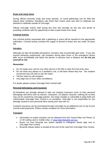# **Exam and study times**

During official university study and exam periods, no social gatherings can be held that disturb other residents. Residents who finish their exams early and wish to celebrate are advised to celebrate outside of UniLodge.

Official UniLodge events held during this time will normally be low key and aimed at providing residents with the opportunity to take a quiet break from study.

# **Criminal Activity**

Any criminal activity associated with a gathering or event will be reported to the appropriate authorities. Criminal activity includes the supply of alcohol to those who are under 18 years old.

# **Intruders**

Although we take all possible precautions, intruders may occasionally gain entry. If you see anyone behaving suspiciously, call reception during open hours or the emergency phone after hours immediately and watch the person or persons from a distance but **do not put yourself at risk.**

# *Remember:*

- Do not swipe your card for any other person in the lifts or open the front entry door
- Do not show any person to a resident's unit, or tell them where they live the resident concerned may not wish to see the visitor.
- Tell the visitor to call reception.
- UniLodge has 24 hour video surveillance.

If in doubt, please contact UniLodge Park Central staff.

# **Personal belongings and insurance**

All Residents are strongly advised to take out contents insurance cover on their personal belongings and items such as stereos, computers, CD players, bicycles, clothing etc as they may not be covered by UniLodge policies. Any large complex is vulnerable to petty theft and unfortunately UniLodge Park Central is no exception. UniLodge is not responsible for any damage caused to your personal items during your stay with us.

Contents insurance can be purchased through UniLodge for an additional cost on top of your normal rental payments. Please contact reception for more information.

# **Transport**

- Information on public transport can be obtained from the Transit Help Line Phone 13 12 30 (calling card or mobile only), or [www.http://translink.com.au.](http://www.http/translink.com.au)
- Buses run from Buranda bus station parallel to Gillingham Street right next to UniLodge Park Central.
- Buranda railway station is located at the end of the road from UniLodge Park Central.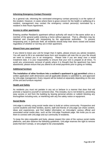# **Informing Emergency Contact Person(s)**

As a general rule, informing the nominated emergency contact person(s) is at the option of the resident. However, in cases where there is grave concern for the health or wellbeing of a resident, management may contact the emergency contact person(s) nominated by a resident in their Room Agreement.

# **Access to other apartments**

Entering another Resident's apartment without authority will result in the same action as a member of the general public entering a home without approval. That is, offenders may be detained and charged with trespassing by the appropriate authorities. To prevent trespassing and, in particular theft, all residents should keep their doors closed and locked regardless of whether or not they are in their apartment.

# **Absent from your apartment**

If you intend to leave your unit for longer than 3 nights, please ensure you advise reception. You will need to fill in an extended leave form and reception will note this on your file should we need to contact you in an emergency. Please note if you are away over a rental instalment date, it is your responsibility to ensure that your rent is prepaid at all times. To avoid any unnecessary removal of goods where it is thought that the apartment has been abandoned, please ensure that you attend to all rental payments prior to going on holiday.

# **Additional furniture**

**The installation of other furniture into a resident's apartment is not permitted** unless a written application (with dimensions and all applicable details) is submitted to, and approved by UniLodge management. Every request will be looked at separately depending on the size of the unit and furniture required.

# **Health and Safety**

As residents you must not partake in any act or behave in a manner that does that will promote a hazard to yourself or someone else. This includes, but is not limited to, preventing easy access or exit from the building by leaving personal articles or rubbish blocking any thoroughfare including exits, or interfering with any fire safety notice or equipment.

# **Social Media**

UniLodge is actively using social media sites to build an online community. Prospective and current students and their families, alumni, staff and friends of UniLodge can share content, ideas and experiences, and find helpful information on UniLodge's various official and associated social media sites, such as the UniLodge Facebook page. We invite you to use them to connect with UniLodge and our community of residents.

To keep the sites enjoyable and lively, please respect the rules of the various social media platforms, and also observe the following guidelines. UniLodge reserves the right to remove posts that don't comply, or are judged to be unacceptable.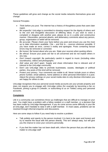These guidelines will grow and change as the social media networks themselves grow and change.

# General Principles

- *Think before you post.* The internet has a history of thoughtless posts that users later regret.
- *Be respectful.* UniLodge is committed to showing respect for the dignity of others and to the civil and thoughtful discussion of differing ideas. If you wish to voice a complaint or disagree with another post, please do so in a polite and constructive manner. Obscenities, personal attacks, and defamatory comments about any person, group, organisation or belief will be removed.
- *Be accurate.* Please check your facts before you post and ensure you use the most up to date information available. Cite – and link to – sources wherever possible. If you have made an error, correct it visibly and apologise. Posts containing factual errors may be removed or corrected.
- *Be honest.* Be honest about who you are. State your sources when quoting others.
- *Be ethical.* Ensure your posts are fair to all concerned and do not exploit others in any way.
- *Don't breach copyright.* Be particularly careful in regard to music (including video soundtracks), videos and photographs.
- *Add value and don't spam.* Supply and share information that is relevant and of interest to the UniLodge community.
- Don't use UniLodge sites to promote businesses, causes, ideologies or political parties. Any posts of this kind will be removed.
- *Protect your privacy.* Your comments are visible to all. Never include yours or others phone number, email address, home address or other personal information in a post. Adjust the privacy settings on your social media sites to only disclose information you are happy for others to see.

UniLodge recognises that your personal social media accounts are your private property and does not require you to engage with UniLodge online (for example by becoming a fan on Facebook, joining a group in LinkedIn, or subscribing to us on Twitter) using your personal accounts.

# **Complaints**

Life in a community can sometimes throw up challenges that are difficult to manage on your own. You might have a problem with a fellow resident or a staff member, or a decision that has been made by UniLodge Management. If you do come across some difficulty in your life at UniLodge, don't hesitate to raise it with a staff member. In most cases, problems can be resolved through informal enquiries and discussions.

Here are some steps to follow if you need help to resolve a problem:

- Talk politely and openly to the person involved. It is best to be open and honest and try to resolve the issue with the person directly. This isn't always easy, but will give you the chance to voice your concerns personally.
- If you feel the matter has not been dealt with, inform the person that you will take the matter to UniLodge staff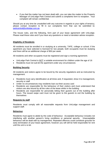• If you feel the matter has not been dealt with, you can take the matter to the Property Manager of UniLodge Park Central and submit a complaints form to reception. Your complaint will remain confidential.

Should you at any time be unsatisfied with any outcome in regards to your rights of tenancy, please contact reception to fill in our complaints form that can be submitted to: [parkcentral@unilodge.com.au](mailto:parkcentral@unilodge.com.au)

The house rules, and the following, form part of your lease agreement with UniLodge. Please read these rules and if you have any questions or need a translator advise reception.

# **Eligibility of Residents**

All residents must be enrolled in or studying at a university, TAFE, college or school. If the apartment you have selected is licensed for two people, both occupants must be studying and there will be an additional charge of \$50 per week.

All residents and other occupants must be registered and sign a rooming agreement.

- UniLodge Park Central is NOT a suitable environment for children under the age of 16
- Residents must not sub-let the apartment under any circumstances

# **Building Security**

All residents and visitors agree to be bound by the security regulations and as instructed by management.

- Residents must carry identification at all times and, if requested, show it to management, security or staff
- Under no circumstances may residents loan out their access card
- Residents are responsible for the behaviour of their visitors and must understand that visitors are also bound by all the rules of the lease whilst in the building
- Residents are responsible for personally letting their guest/s out of the building after hours. The issued swipe card must not be given to the guest/s to exit the building by themselves

# **Requests by staff**

Residents must comply with all reasonable requests from UniLodge management and support staff.

# **Behaviour**

Residents must agree to abide by the code of behaviour. Acceptable behaviour includes not interfering with another person's living conditions or personal security. Unacceptable behaviour will be dealt with by management. Repeated offences could constitute grounds for early termination of your lease agreement, however you will still be held responsible for rent until the unit is re-let.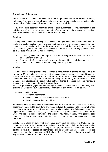# **Drugs/Illegal Substances**

The use of/or being under the influence of any illegal substance in the building is strictly forbidden. This means under **NO** circumstances are any illegal substances permitted within the complex. Failure to comply with this rule can result in eviction.

If you feel you are becoming reliant on drugs or other substances (or know somebody in the building who is), please talk to management. We are here to assist in every way possible. We can certainly put you in touch with people who can help you.

# **Smoking**

UniLodge is a smoke free building which includes the apartments and all common areas. As such, any costs resulting from the repair and cleaning of any damage caused through cigarette burns, smoke residue or build-up of nicotine will be charged to the resident responsible. In Queensland there are strict laws about how close to buildings you can smoke so make sure you are familiar with these laws.

- No smoking within 5 metres of public transport waiting points such as bus stops, taxi ranks, and ferry terminals
- Smoke free buffer increases to 5 metres at all non-residential building entrances
- No smoking at commercial outdoor eating or drinking areas

# **Alcohol**

UniLodge Park Central promotes the responsible consumption of alcohol for residents over the age of 18. UniLodge opposes excessive consumption of alcohol and binge drinking, as we are home for all residents and should not be treated as a drinking place. All residents should be able to study and sleep without being disturbed by other residents. While UniLodge permits responsible consumption between friends it opposes groups or individuals who wish to consume more than a few quiet drinks.

Alcohol is permissible (if you are over the age of 18) only if consumed within the designated drinking areas listed below. Alcohol is NOT permitted in any area not listed below.

Designated Drinking Areas

- Resident Apartments
- Level 2 Common Area (excluding the Theatrette)
- Level 2 Outdoor Area until 11pm

Any alcohol is to be consumed in moderation and there is to be no excessive noise. Noisy students will be asked to quiet down or directed to leave the building. Intoxication will under no circumstances be accepted as an excuse for misbehaviour. The full consequences will apply for misbehaviour following any destructive or socially unacceptable acts, inclusive of where the resident cannot remember the wrongdoing. Kegs, funnels, yard glasses, beer bongs and other related implements that may encourage rapid consumption are not permitted.

Breakages of glass or items that may cause injury must be reported to UniLodge Park Central reception or the RA on duty immediately. It is the responsibility of those consuming the alcohol to put all rubbish, including bottle tops, into the bins provided. Empty alcohol containers must be disposed of appropriately and in a timely manner. Please respect the opening hours of the common areas. UniLodge staff and RA's may shut down any activity at any time that is deemed in breach of this policy.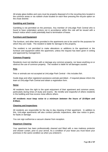All empty glass bottles and cans must be properly disposed of in the recycling bins located in the common areas or via rubbish chute located on each floor pressing the recycle option on the chute diverter.

# **Gambling and Gaming**

Gambling is not permitted on the premises. Any member of UniLodge Park Central who is found to have undertaken actions not in accordance within this rule will be issued with a breach notice which could potentially lead to termination of lease.

# **Furniture and Equipment**

The furniture, and other items provided in the apartments are to be used for the purposes for which they are made. The resident is liable for damage to this property.

The resident is not permitted to make alterations or additions to the apartment or the furniture and equipment within the apartment, unless the request has been given in writing and approved by management.

# **Common Property**

Residents must not interfere with or damage any common property, nor leave anything on or obstruct the use of common property. The resident is liable for all damages caused.

# **Pets**

Pets or animals are not accepted at UniLodge Park Central – this includes fish.

Guide dogs and other registered assistance animals permitted – if required please inform the team at UniLodge Park Central and obtain a registration form.

# **Noise**

All residents have the right to the quiet enjoyment of their apartment and common areas, particularly during times of study and exams. Be mindful and respectful of others residents in the building and how excess noise affects others.

# *All residents must keep noise to a minimum between the hours of 10:00pm and 8:00am.*

# **Cleaning and Inspections**

All residents are responsible for the day to day cleaning of their apartment. In addition to this, UniLodge apartments will also conduct periodic inspections, after due notice is given, for faults or damage.

You can sign out/borrow a vacuum cleaner from reception.

# **Departure Cleaning**

Your apartment has been professionally cleaned and fitted with a new mattress protector and shower curtain, prior to your arrival. As a condition of your lease you must leave your premises in the same condition as when you entered it.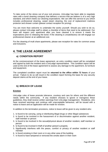To take some of the stress out of your exit process, UniLodge has been able to negotiate rates with a bond cleaning company that delivers a service that we believe is of a very high standard, and which meets our cleaning expectations. We can offer this service to you which includes professional cleaning, carpet steam cleaning, the cost of replacement mattress protector and shower curtain (please contact reception for pricing).

You are more than welcome to undertake the works yourself. Should you wish to do so, please contact UniLodge staff to obtain a checklist of items that need to be addressed. Our team will inspect your apartment after you have cleaned it to ensure it meets the expectations prior to releasing the bond. If the cleaning is unsatisfactory we will engage our professional cleaner at an additional cost.

For the cleaning of multi share apartments, please see reception for rates for common areas and inclusions.

# <span id="page-26-1"></span><span id="page-26-0"></span>**4. THE LEASE AGREEMENT**

# **a) CONDITION REPORT**

At the commencement of the lease agreement, an entry condition report will be completed and signed by both the resident and a UniLodge representative. This condition report will be used at the end of the lease agreement to assess any damage to the apartment, its furniture and equipment.

The completed condition report must be **returned to the office within 72 hours** of your arrival. Failure to do so will result in the condition report forming the basis for any security deposit claims at the end of your lease.

# <span id="page-26-2"></span>**b) BREACH OF LEASE**

# **Eviction**

UniLodge rules of lease promote tolerance, courtesy and care for others and the different needs within the community. If any resident chooses to ignore or transgress these guidelines, they shall receive written warnings from UniLodge management. Residents, who have received warnings and continue with unacceptable behaviour, will be issued with a notice to leave and an application will be made for eviction.

In addition to the termination provisions, notice to leave will be given to any resident who:

- 1. Is found to be carrying, using or distributing illegal drugs or other illegal substances
- 2. Is found to be involved in the harassment of or discrimination against another resident, staff member or person
- 3. Is found to be involved in the sexual/physical abuse of another resident, staff member or person
- 4. Is found to be involved in theft of another person's property
- 5. Significantly interferes with the peace, comfort or privacy of another resident or staff member
- 6. Is found smoking in their room or in any other area of the building
- 7. Is found to have tampered or removed the smoke alarm in their room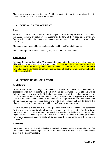These practices are against the law. Residents must note that these practices lead to immediate expulsion and possible prosecution.

# <span id="page-27-0"></span>**c) BOND AND ADVANCE RENT**

# **Bond**

Bond equivalent to four (4) weeks rent is required. Bond is lodged with the Residential Tenancies Authority on behalf of the resident for the term of their lease and / or for any further period in which the resident may occupy the apartment. Bond lodged is in Australian Dollars only.

The bond cannot be used for rent unless authorised by the Property Manager.

The cost of repair or excessive cleaning may be deducted from the bond**.**

# **Advance Rent**

Advance Rent equivalent to two (2) weeks rent is required at the time of accepting the offer. This will go towards the initial rent payment. This payment is non-refundable and any changes made to the booking prior arrival will incur an admin fee equivalent to one week rent. Changes to your lease agreement must be done at least two week prior arrival and is subject to availability.

# <span id="page-27-1"></span>**d) REFUND OR CANCELLATION**

# **Total Refund**

In the event where UniLodge management is unable to provide accommodation in accordance with our obligations, all bond payments and advance rent instalments will be fully refunded. However, whilst UniLodge representatives will try to offer applicants the rooms or units of their choice this may not always be possible. If applicants are offered similar alternative accommodation within the same UniLodge facility before commencement of their lease agreement, or upon their arrival to take up residency but wish to decline this offer, a cancellation fee will apply in addition to forfeiting the advance rent.

Bond is refundable at the end of a lease agreement, which is not renewed. The conditions for this are: rent is paid in full, all furniture and equipment is accounted for, there is no damage to any UniLodge property for which the resident is liable and all outstanding expenses such as cleaning etc. are fully paid. Any costs related to damage, rubbish removal, or excessive cleaning costs will be deducted from the bond, as is the departure cleaning fee.

# **No Refund**

In the event that an applicant has fulfilled all obligations as defined by UniLodge but the offer of accommodation at UniLodge is withdrawn the resident will forfeit the rent paid in advance to secure the accommodation.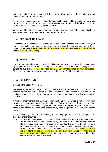In the event of a resident being evicted, the resident will not be eligible for refund of any rent paid until another resident is found.

At the end of a lease agreement, where damage has been caused to UniLodge property and the bond is not enough to cover the cost of rectification, the bond will be claimed and the resident will remain liable for any additional costs.

Where a resident breaks a tenancy agreement without cause, the resident is not eligible for any refund of advanced rent until another resident is found.

# <span id="page-28-0"></span>**e) RENEWAL OF LEASE**

Renewing your lease is easy with UniLodge! All you have to do is send us an email with your name, unit number and length of lease when we advertise for renewals and we will be in contact with details. Please note you will be required to sign a new lease and pay a deposit to secure your future booking.

# <span id="page-28-1"></span>**f) ROOM MOVE**

If you wish to upgrade or simply move to a different room, you can request for a room move by simply sending us an email. All requests will need to be submitted in writing and are subject to availability. Please note fees apply to any changes made to your reservation. Please review departure cleaning under section 3(b) of this Resident Handbook.

# <span id="page-28-2"></span>**g) TERMINATION**

# **Breaking the Lease Agreement**

The lease agreement is a legally binding document which if broken may continue to incur charges for the resident. Where a tenant believes that they cannot stay in the unit or continue to pay the rent, they must notify UniLodge management in writing as soon as possible.

A resident under General Tenancy Agreement must give at least 2 weeks' notice if they wish to break the lease agreement early by submitting Form 13 – Notice of Intention to leave. Under Rooming Accommodation Agreement, the resident is required to give at least 7 days' notice if they wish to break the lease agreement by submitting Form R13 – Resident Leaving Form

When considering prematurely terminating your tenancy agreement, it is your responsibility to do one of the following:

- Pay up front the remainder of occupancy fees that are due under the agreement; or
- Find another suitable person, approved by UniLodge Park Central Management, to take over your apartment, or UniLodge will conduct this on your behalf. An early termination fee equivalent to 2 weeks rent plus GST applies, as well as rent up until the next resident moves in/end of lease (whichever comes first). Please note that booking incentives are to be paid back if your stay duration was less than six (6) months from your contract start date. UniLodge does not quarantee being able to find a replacement resident for the lease.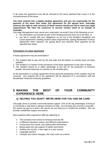In all cases the apartment must still be returned to the same standard that it was in at the commencement of the lease.

**You have entered into a legally binding agreement and you are responsible for the payment of the lease fees under this agreement for the agreed term. UniLodge reserves the right to seek recovery of these monies should you fail to meet your legal requirements. We have the resources to recover monies owed to us outside of Australia.**

UniLodge Management may cancel your reservation via email if any of the following occurs:

- the information you provide as part of the booking process turns out to be false; or
- you fail to comply with your obligations as set out in the Resident Handbook and Lease Agreement, meeting student status requirements, signing Residential Tenancy Agreement when required, not paying Bond and Advance Rent payment by the specified due dates.

# **Termination of Lease Agreement**

A lease agreement may be terminated if:

- 1. The resident fails to pay rent by the due date and all Notices to remedy have not been satisfied
- 2. The resident is in breach of the provisions of the lease agreement or the rules of lease
- 3. The resident resorts to or takes advantage of any law for the protection of insolvent people, becomes bankrupt or commits an act of bankruptcy

At the termination of a lease agreement all the personal property(s) of the resident must be removed. Any property left in the apartment will be disposed of in accordance with the Residential Tenancies Authority guidelines.

# <span id="page-29-0"></span>**5. MAKING THE BEST OF YOUR COMMUNITY EXPERIENCE HERE**

# <span id="page-29-1"></span>**a) HELPING YOU ADAPT: WE'RE HERE FOR YOU AND WE CARE**

UniLodge strive to provide community-based support. One of the big advantages of living in a community is that there is always someone to help. Do not keep your worries to yourself – the sooner we get on to them, the sooner we can help you to resolve the problem. We can provide confidential support and advice.

New residents often experience difficulty adjusting to:

- The transition from school to tertiary/university life
- A different education system and different expectations
- Living away from home, and looking after themselves
- Being away from the support of family and friends
- Settling into city life, a new state or a new country
- Language barriers
- Lifestyle and culture changes, this may come as a shock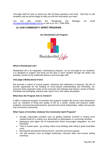UniLodge staff are here to assist you with all these questions and more. Feel free to visit reception and we will be happy to help you find the information you need.

You can also contact the Residential Life Manager via email [rlm.parkcentral@unilodge.com.au](mailto:rlm.parkcentral@unilodge.com.au) or call us at +61 7 3556 9500

# <span id="page-30-0"></span>**b) OUR COMMUNITY SPIRIT PROGRAM**

**Our Residential Life Program**



# **What is Residential Life?**

Residential Life is an integrated, contemporary program, run by UniLodge for our residents. It is designed to support and bring out the best in each resident through the duties and activities carried out by residential advisors and UniLodge staff.

# **UniLodge's Multicultural Vision**

We promote a culture of mutual respect, tolerance and celebration of diversity. We aim to provide opportunity for the building of cross-cultural understanding and friendship. So, everyone feels respected, looks out for everyone else belongs and shares a sense of family, friendship and belonging, interacts with, learns from, and values all peoples.

#### **What does the Program Aim to Achieve?**

It offers a balanced program of activities that supports resident life across many dimensions such as: standard of living and quality of life as a whole, mental and physical health, academic and personal achievements, personal and social relationships, safety and security and community connectivity.

# **What Types of Activities Underpin the Community Spirit Program?**

- Socially responsible activities such as getting residents involved in raising much needed funds for a charity (e.g. Movember) or participation in community activities
- Barbeques and nights full of entertainment which encourages integration, fun and friendship
- Trips to Aussie spots go surfing, indoor rock-climbing, bike riding to great Australian icons
- Educational and special interest forums, seminars and focus groups
- Life skill sessions such as budget workshops, interview skills, and resume writing workshop.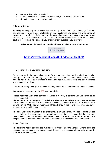- Games nights and movies nights
- Sporting activities such as netball, basketball, footy, cricket it's up to you
- International parties and cultural activities

# **Attending Events**

Attending and signing up for events is easy, just go to the UniLodge webpage, where you can register for events via Ticketbooth on the Residential Life page. The wide range of events will be loaded via Ticketbooth for the upcoming months so you can see what events are coming up and choose the ones you wish to attend. So simple! Our customer service staff at reception are able to assist you or answer any questions you may have.

# **To keep up to date with Residential Life events visit our Facebook page**



**<https://www.facebook.com/UniLodgeParkCentral/>**

# <span id="page-31-0"></span>**c) HEALTH AND WELLBEING**

Emergency medical treatment is available 24 hours a day at both public and private hospital emergency departments. Emergency care is also available at some medical centres. If you need to visit the hospital remember to bring your health insurance card and any medicines you are currently taking.

If it's not an emergency, go to a doctor or GP ('general practitioner') or visit a medical centre.

# **In case of an emergency dial 000 from a mobile**

Please note that ambulance services in Australia are very expensive and ambulance cover is recommended.

The non-emergency transport to hospital is a private matter. Where appropriate, UniLodge will recommend the use of a taxi. Where a resident chooses to be taken to hospital in a private vehicle, UniLodge will recommend that a friend, in addition to the driver, also travel with the person seeking medical care.

The only appropriate transport in an emergency is an ambulance. Ambulance costs are the responsibility of the person seeking medical care. It is highly recommended that residents have health cover that includes ambulance travel. If staff accompanies a resident to a hospital there is no requirement for them to remain after medical care has commenced.

# **Health Services**

The following health services are available near UniLodge Park Central. Before using the services, please ensure you enquire about the costs and services offered with regards to your personal health cover.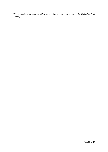*(These services are only provided as a guide and are not endorsed by UniLodge Park Central)*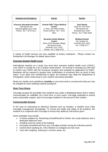| <b>Hospital and Emergency</b>                                                                             | <b>Doctor</b>                                                                                                                                 | <b>Dentist</b>                                                                                       |
|-----------------------------------------------------------------------------------------------------------|-----------------------------------------------------------------------------------------------------------------------------------------------|------------------------------------------------------------------------------------------------------|
| <b>Princess Alexandra Hospital</b><br>199 Ipswich Rd,<br>Woolloongabba QLD 4102<br>Phone: +61 7 3176 2111 | <b>Central CBD 7 Days Medical</b><br><b>Centre</b><br>1 <sup>st</sup> floor, 245 Albert Street,<br>Phone (24hrs): +61 7 3211<br>3611          | Soni Dental<br>Suite 20, First Floor<br>250 Ipswich Rd<br>Buranda QLD 4102<br>Phone: +61 7 3391 5633 |
|                                                                                                           | <b>Buranda Family Medical</b><br><b>Centre</b><br>Shop 13/14 Buranda Village<br>264 Ipwich Road<br>Buranda QLD 4102<br>Phone: +61 7 3393 2757 | <b>Medland Dental</b><br>66 Lambton St<br>Annerley QLD 4103<br>+61 7 3426 5777                       |

A variety of health services are also available at tertiary institutions. Please contact our Residential Life Manager for details about these.

# **Overseas Student Health Cover**

International students on a study visa must have overseas student health cover (OSHC). Your OSHC is usually for a six or twelve month period. On arriving in Australia you will need to confirm your OSHC with the insurance company and complete an application for OSHC. Residents will be required to present their confirmation of enrolment form as proof of their status. If you allow your membership to lapse, the company may notify the Department of Immigration, which could result in your student visa being cancelled.

Read your health cover guidelines **carefully** so you know what is covered and what you may be charged for when seeking medical assistance.

# **Short Term Illness**

UniLodge accepts the possibility that residents may suffer a debilitating illness that is neither communicable nor notifiable, for a short time. In such cases, UniLodge undertake to extend every reasonable support, and to encourage residents in the pursuit of their studies.

# **Communicable Disease**

In the case of contracting an infectious disease such as measles, a resident must notify UniLodge management immediately. To ensure the health and safety of all residents, the resident is to cooperate with UniLodge to ensure they abide by instructions given.

Some strategies may include

- in-house isolation by: Restricting himself/herself to his/her own study bedroom and a dedicated bathroom area
- Avoiding common areas of the building
- Excluding himself/herself from any UniLodge activities during the infectious period
- Careful hand washing etc. if the infection is contagious by that route
- Care with coughing, sneezing in common areas, etc.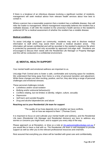If there is a breakout of an infectious disease involving a significant number of residents, management will seek medical advice from relevant health services about how best to contain it.

Where a person has a reasonable suspicion that a resident has a notifiable disease, they will refer the matter to management. Where management reasonably believes the resident has a notifiable disease, it will refer the resident to the university's health service or the resident's preferred GP for a medical assessment of whether the resident has a notable disease.

# **Medical conditions**

To assist UniLodge to support our community, residents may wish to disclose medical information to staff which may assist them should a medical situation arose. This information will remain confidential and will be recorded in the resident's electronic file which is protected by passwords and only accessible by approved UniLodge staff. Residents are encouraged to discuss their needs with the Residential Life Manager or Property Manager and this will be conducted in a confidential environment.

# <span id="page-34-0"></span>**d) MENTAL HEALTH SUPPORT**

Your mental health and emotional wellness are important to us.

UniLodge Park Central aims to foster a safe, comfortable and nurturing space for residents. We understand that living away from home is a time of personal transition and adjustment. While these changes are often exciting, positive, and fun, they also bring a range of personal challenges and emotional stresses.

These personal challenges include:

- *Loneliness and/or social isolation*
- *Bullying and/or antisocial behaviour(s)*
- *Conflicts relating, but not limited, to identity, religion, culture, sexuality*
- *Depression*
- *Self-harm and suicidal thoughts*
- *Drug and alcohol dependencies and abuse*

# **Reaching out to your Residential Life team for support**

"The quality of our lives depends not on whether we have conflicts, but on how we respond to them." (Thomas Crum)

It is important to focus on and cultivate your mental health and wellness, and the Residential Life team (Residential Life Manager and Residential Advisors) are here to address any worries or concerns you might have, and to support you every step of the way.

Please approach us at Reception, or drop us a note at [rlm.parkcentral@unilodge.com.au](mailto:rlm.parkcentral@unilodge.com.au) if you would like to have a chat with us. The Residential Life team is well equipped to provide support as well as refer you to the relevant professional resources and channels.

Rest assured that everything you share will be handled with great care and confidentiality.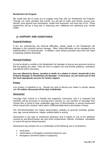# **Residential Life Program**

We would also like to invite you to engage more fully with our Residential Life Program*.*  Through our many activities and events, you will get to make new friends, pursue your interest, grow beyond your boundaries, create fond memories, and have lots of fun. These experiences will go a long way in improving your wellbeing and optimising your mental health.

# <span id="page-35-0"></span>**e) SUPPORT AND ASSISTANCE**

# **Financial Problems**

If you are experiencing any financial difficulties, please speak to the Residential Life Manager or the customer service manager. Often, these difficulties can be managed by the implementation of a financial plan. In addition, some tertiary providers have their own ways of assisting students financially.

# **Personal Problems**

Do not be afraid to confide in the Residential Life Manager to discuss any personal concerns that are getting you down. They are here to support you and provide guidance, assistance and referral where necessary.

**Any one affected by illness, accident or death of a relative or friend, should talk to the Property Manager or Residential Life Manager. If necessary, we can assist you to find the most appropriate services for further support.**

# **Privacy**

Your privacy is important to us. Should you wish to discuss any matter in private, please ask! **All matters discussed will be kept confidential.**

# **Harassment**

UniLodge Park Central is a friendly and supportive community, and it is expected that members will be pro-active in ensuring that it remains so. Any member of UniLodge Park Central who is found to have undertaken any form of discrimination or sexual harassment will be issued with a breach notice which could potentially lead to termination of lease.

The Anti-Discrimination Act makes discrimination unlawful on grounds including: gender, race, age, sexual preference, religion, political belief or activity.

Harassment is any type of unwelcome behaviour that is based on one of the attributes covered by anti-discrimination law and which embarrasses, offends, humiliates, intimidates or scares the person being harassed.

Harassment may include one or a combination of the following, but is not limited to:

- racist jokes
- verbal abuse or derogatory comments based on race
- derogatory comments based on pregnancy